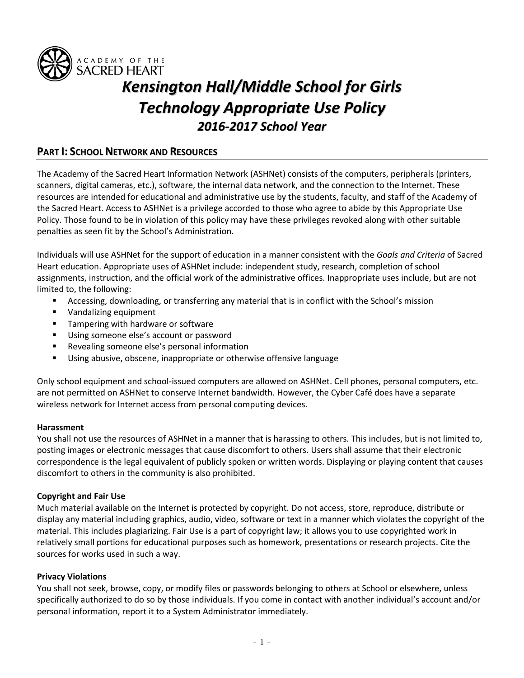

# *Kensington Hall/Middle School for Girls Technology Appropriate Use Policy 2016-2017 School Year*

# **PART I: SCHOOL NETWORK AND RESOURCES**

The Academy of the Sacred Heart Information Network (ASHNet) consists of the computers, peripherals (printers, scanners, digital cameras, etc.), software, the internal data network, and the connection to the Internet. These resources are intended for educational and administrative use by the students, faculty, and staff of the Academy of the Sacred Heart. Access to ASHNet is a privilege accorded to those who agree to abide by this Appropriate Use Policy. Those found to be in violation of this policy may have these privileges revoked along with other suitable penalties as seen fit by the School's Administration.

Individuals will use ASHNet for the support of education in a manner consistent with the *Goals and Criteria* of Sacred Heart education. Appropriate uses of ASHNet include: independent study, research, completion of school assignments, instruction, and the official work of the administrative offices. Inappropriate uses include, but are not limited to, the following:

- Accessing, downloading, or transferring any material that is in conflict with the School's mission
- **Vandalizing equipment**
- **Tampering with hardware or software**
- Using someone else's account or password
- **Revealing someone else's personal information**
- Using abusive, obscene, inappropriate or otherwise offensive language

Only school equipment and school-issued computers are allowed on ASHNet. Cell phones, personal computers, etc. are not permitted on ASHNet to conserve Internet bandwidth. However, the Cyber Café does have a separate wireless network for Internet access from personal computing devices.

## **Harassment**

You shall not use the resources of ASHNet in a manner that is harassing to others. This includes, but is not limited to, posting images or electronic messages that cause discomfort to others. Users shall assume that their electronic correspondence is the legal equivalent of publicly spoken or written words. Displaying or playing content that causes discomfort to others in the community is also prohibited.

# **Copyright and Fair Use**

Much material available on the Internet is protected by copyright. Do not access, store, reproduce, distribute or display any material including graphics, audio, video, software or text in a manner which violates the copyright of the material. This includes plagiarizing. Fair Use is a part of copyright law; it allows you to use copyrighted work in relatively small portions for educational purposes such as homework, presentations or research projects. Cite the sources for works used in such a way.

## **Privacy Violations**

You shall not seek, browse, copy, or modify files or passwords belonging to others at School or elsewhere, unless specifically authorized to do so by those individuals. If you come in contact with another individual's account and/or personal information, report it to a System Administrator immediately.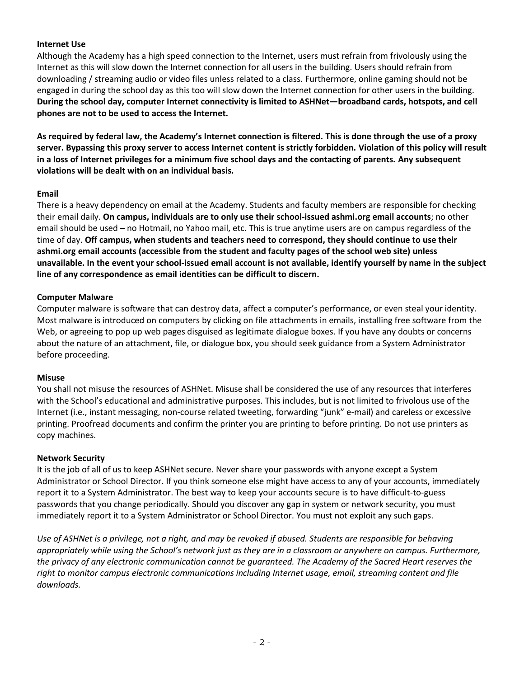# **Internet Use**

Although the Academy has a high speed connection to the Internet, users must refrain from frivolously using the Internet as this will slow down the Internet connection for all users in the building. Users should refrain from downloading / streaming audio or video files unless related to a class. Furthermore, online gaming should not be engaged in during the school day as this too will slow down the Internet connection for other users in the building. **During the school day, computer Internet connectivity is limited to ASHNet—broadband cards, hotspots, and cell phones are not to be used to access the Internet.**

**As required by federal law, the Academy's Internet connection is filtered. This is done through the use of a proxy server. Bypassing this proxy server to access Internet content is strictly forbidden. Violation of this policy will result in a loss of Internet privileges for a minimum five school days and the contacting of parents. Any subsequent violations will be dealt with on an individual basis.**

## **Email**

There is a heavy dependency on email at the Academy. Students and faculty members are responsible for checking their email daily. **On campus, individuals are to only use their school-issued ashmi.org email accounts**; no other email should be used – no Hotmail, no Yahoo mail, etc. This is true anytime users are on campus regardless of the time of day. **Off campus, when students and teachers need to correspond, they should continue to use their ashmi.org email accounts (accessible from the student and faculty pages of the school web site) unless unavailable. In the event your school-issued email account is not available, identify yourself by name in the subject line of any correspondence as email identities can be difficult to discern.**

#### **Computer Malware**

Computer malware is software that can destroy data, affect a computer's performance, or even steal your identity. Most malware is introduced on computers by clicking on file attachments in emails, installing free software from the Web, or agreeing to pop up web pages disguised as legitimate dialogue boxes. If you have any doubts or concerns about the nature of an attachment, file, or dialogue box, you should seek guidance from a System Administrator before proceeding.

#### **Misuse**

You shall not misuse the resources of ASHNet. Misuse shall be considered the use of any resources that interferes with the School's educational and administrative purposes. This includes, but is not limited to frivolous use of the Internet (i.e., instant messaging, non-course related tweeting, forwarding "junk" e-mail) and careless or excessive printing. Proofread documents and confirm the printer you are printing to before printing. Do not use printers as copy machines.

## **Network Security**

It is the job of all of us to keep ASHNet secure. Never share your passwords with anyone except a System Administrator or School Director. If you think someone else might have access to any of your accounts, immediately report it to a System Administrator. The best way to keep your accounts secure is to have difficult-to-guess passwords that you change periodically. Should you discover any gap in system or network security, you must immediately report it to a System Administrator or School Director. You must not exploit any such gaps.

*Use of ASHNet is a privilege, not a right, and may be revoked if abused. Students are responsible for behaving appropriately while using the School's network just as they are in a classroom or anywhere on campus. Furthermore, the privacy of any electronic communication cannot be guaranteed. The Academy of the Sacred Heart reserves the right to monitor campus electronic communications including Internet usage, email, streaming content and file downloads.*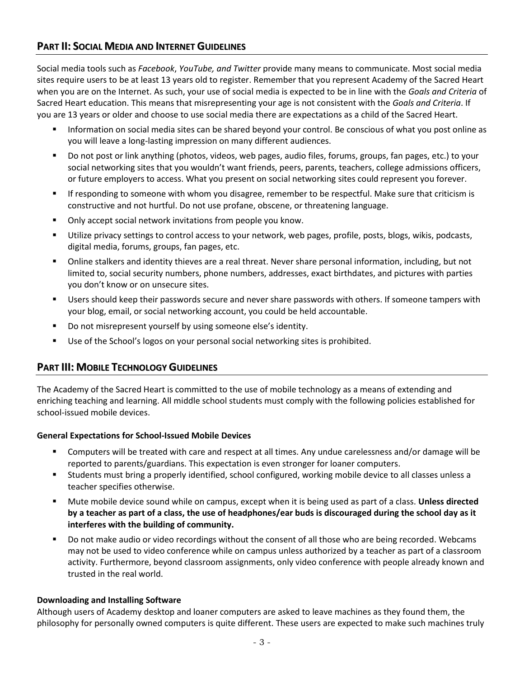# **PART II: SOCIAL MEDIA AND INTERNET GUIDELINES**

Social media tools such as *Facebook*, *YouTube, and Twitter* provide many means to communicate. Most social media sites require users to be at least 13 years old to register. Remember that you represent Academy of the Sacred Heart when you are on the Internet. As such, your use of social media is expected to be in line with the *Goals and Criteria* of Sacred Heart education. This means that misrepresenting your age is not consistent with the *Goals and Criteria*. If you are 13 years or older and choose to use social media there are expectations as a child of the Sacred Heart.

- Information on social media sites can be shared beyond your control. Be conscious of what you post online as you will leave a long-lasting impression on many different audiences.
- Do not post or link anything (photos, videos, web pages, audio files, forums, groups, fan pages, etc.) to your social networking sites that you wouldn't want friends, peers, parents, teachers, college admissions officers, or future employers to access. What you present on social networking sites could represent you forever.
- If responding to someone with whom you disagree, remember to be respectful. Make sure that criticism is constructive and not hurtful. Do not use profane, obscene, or threatening language.
- **Only accept social network invitations from people you know.**
- Utilize privacy settings to control access to your network, web pages, profile, posts, blogs, wikis, podcasts, digital media, forums, groups, fan pages, etc.
- Online stalkers and identity thieves are a real threat. Never share personal information, including, but not limited to, social security numbers, phone numbers, addresses, exact birthdates, and pictures with parties you don't know or on unsecure sites.
- **Users should keep their passwords secure and never share passwords with others. If someone tampers with** your blog, email, or social networking account, you could be held accountable.
- **Do not misrepresent yourself by using someone else's identity.**
- Use of the School's logos on your personal social networking sites is prohibited.

# **PART III: MOBILE TECHNOLOGY GUIDELINES**

The Academy of the Sacred Heart is committed to the use of mobile technology as a means of extending and enriching teaching and learning. All middle school students must comply with the following policies established for school-issued mobile devices.

# **General Expectations for School-Issued Mobile Devices**

- Computers will be treated with care and respect at all times. Any undue carelessness and/or damage will be reported to parents/guardians. This expectation is even stronger for loaner computers.
- Students must bring a properly identified, school configured, working mobile device to all classes unless a teacher specifies otherwise.
- Mute mobile device sound while on campus, except when it is being used as part of a class. **Unless directed by a teacher as part of a class, the use of headphones/ear buds is discouraged during the school day as it interferes with the building of community.**
- **Do not make audio or video recordings without the consent of all those who are being recorded. Webcams** may not be used to video conference while on campus unless authorized by a teacher as part of a classroom activity. Furthermore, beyond classroom assignments, only video conference with people already known and trusted in the real world.

# **Downloading and Installing Software**

Although users of Academy desktop and loaner computers are asked to leave machines as they found them, the philosophy for personally owned computers is quite different. These users are expected to make such machines truly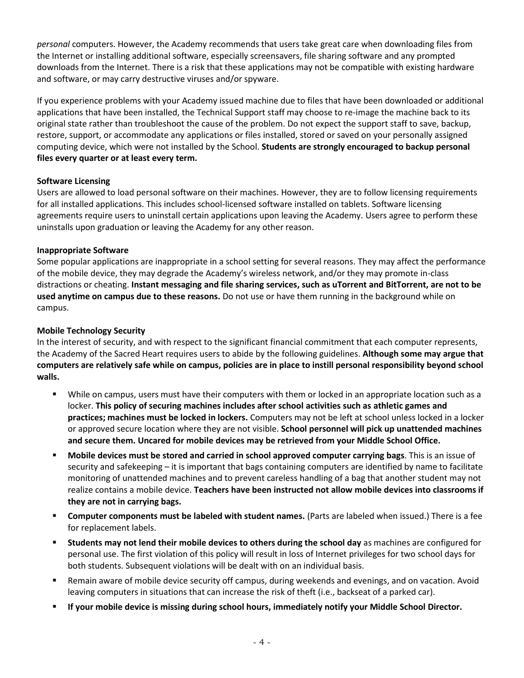*personal* computers. However, the Academy recommends that users take great care when downloading files from the Internet or installing additional software, especially screensavers, file sharing software and any prompted downloads from the Internet. There is a risk that these applications may not be compatible with existing hardware and software, or may carry destructive viruses and/or spyware.

If you experience problems with your Academy issued machine due to files that have been downloaded or additional applications that have been installed, the Technical Support staff may choose to re-image the machine back to its original state rather than troubleshoot the cause of the problem. Do not expect the support staff to save, backup, restore, support, or accommodate any applications or files installed, stored or saved on your personally assigned computing device, which were not installed by the School. **Students are strongly encouraged to backup personal files every quarter or at least every term.**

# **Software Licensing**

Users are allowed to load personal software on their machines. However, they are to follow licensing requirements for all installed applications. This includes school-licensed software installed on tablets. Software licensing agreements require users to uninstall certain applications upon leaving the Academy. Users agree to perform these uninstalls upon graduation or leaving the Academy for any other reason.

## **Inappropriate Software**

Some popular applications are inappropriate in a school setting for several reasons. They may affect the performance of the mobile device, they may degrade the Academy's wireless network, and/or they may promote in-class distractions or cheating. **Instant messaging and file sharing services, such as uTorrent and BitTorrent, are not to be used anytime on campus due to these reasons.** Do not use or have them running in the background while on campus.

## **Mobile Technology Security**

In the interest of security, and with respect to the significant financial commitment that each computer represents, the Academy of the Sacred Heart requires users to abide by the following guidelines. **Although some may argue that computers are relatively safe while on campus, policies are in place to instill personal responsibility beyond school walls.**

- While on campus, users must have their computers with them or locked in an appropriate location such as a locker. **This policy of securing machines includes after school activities such as athletic games and practices; machines must be locked in lockers.** Computers may not be left at school unless locked in a locker or approved secure location where they are not visible. **School personnel will pick up unattended machines and secure them. Uncared for mobile devices may be retrieved from your Middle School Office.**
- **Mobile devices must be stored and carried in school approved computer carrying bags**. This is an issue of security and safekeeping – it is important that bags containing computers are identified by name to facilitate monitoring of unattended machines and to prevent careless handling of a bag that another student may not realize contains a mobile device. **Teachers have been instructed not allow mobile devices into classrooms if they are not in carrying bags.**
- **Computer components must be labeled with student names.** (Parts are labeled when issued.) There is a fee for replacement labels.
- **Students may not lend their mobile devices to others during the school day** as machines are configured for personal use. The first violation of this policy will result in loss of Internet privileges for two school days for both students. Subsequent violations will be dealt with on an individual basis.
- Remain aware of mobile device security off campus, during weekends and evenings, and on vacation. Avoid leaving computers in situations that can increase the risk of theft (i.e., backseat of a parked car).
- **If your mobile device is missing during school hours, immediately notify your Middle School Director.**